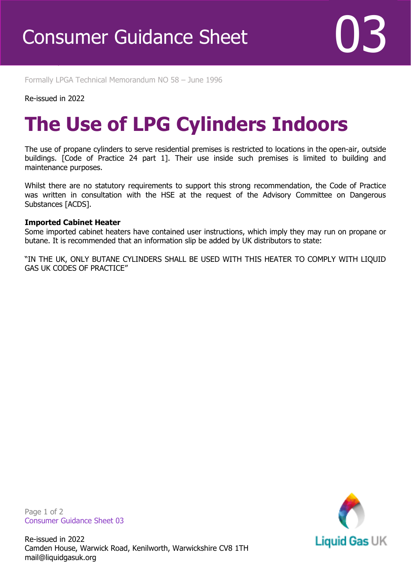Formally LPGA Technical Memorandum NO 58 – June 1996

#### Re-issued in 2022

Revised April 2016

## **The Use of LPG Cylinders Indoors**

The use of propane cylinders to serve residential premises is restricted to locations in the open-air, outside buildings. [Code of Practice 24 part 1]. Their use inside such premises is limited to building and maintenance purposes.

Whilst there are no statutory requirements to support this strong recommendation, the Code of Practice was written in consultation with the HSE at the request of the Advisory Committee on Dangerous Substances [ACDS].

#### **Imported Cabinet Heater**

Some imported cabinet heaters have contained user instructions, which imply they may run on propane or butane. It is recommended that an information slip be added by UK distributors to state:

"IN THE UK, ONLY BUTANE CYLINDERS SHALL BE USED WITH THIS HEATER TO COMPLY WITH LIQUID GAS UK CODES OF PRACTICE"

Page 1 of 2 Consumer Guidance Sheet 03